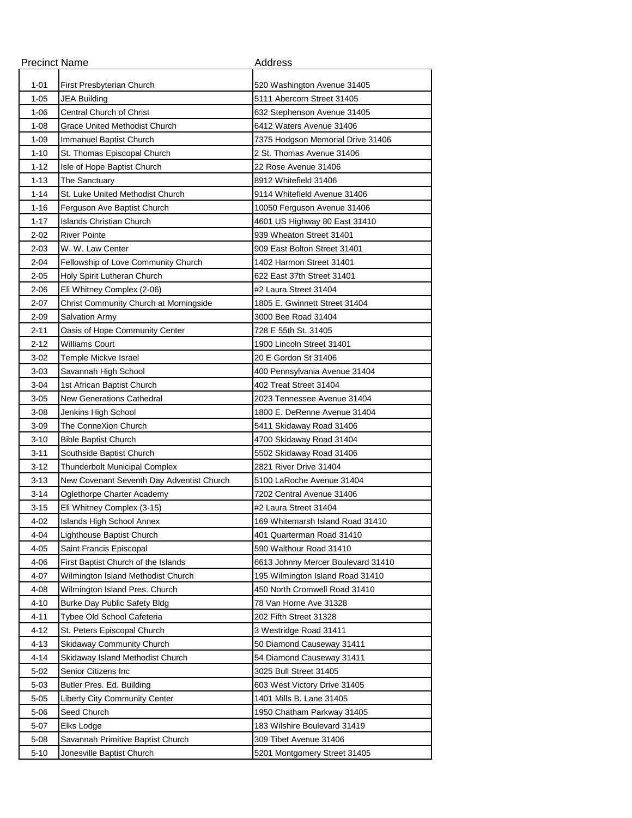| <b>Precinct Name</b> |                                           | Address                            |
|----------------------|-------------------------------------------|------------------------------------|
| $1 - 01$             | First Presbyterian Church                 | 520 Washington Avenue 31405        |
| $1 - 05$             | JEA Building                              | 5111 Abercorn Street 31405         |
| $1 - 06$             | Central Church of Christ                  | 632 Stephenson Avenue 31405        |
| $1 - 08$             | Grace United Methodist Church             | 6412 Waters Avenue 31406           |
| $1 - 09$             | Immanuel Baptist Church                   | 7375 Hodgson Memorial Drive 31406  |
| $1 - 10$             | St. Thomas Episcopal Church               | 2 St. Thomas Avenue 31406          |
| $1 - 12$             | Isle of Hope Baptist Church               | 22 Rose Avenue 31406               |
| 1-13                 | The Sanctuary                             | 8912 Whitefield 31406              |
| $1 - 14$             | St. Luke United Methodist Church          | 9114 Whitefield Avenue 31406       |
| $1 - 16$             | Ferguson Ave Baptist Church               | 10050 Ferguson Avenue 31406        |
| $1 - 17$             | Islands Christian Church                  | 4601 US Highway 80 East 31410      |
| $2 - 02$             | <b>River Pointe</b>                       | 939 Wheaton Street 31401           |
| 2-03                 | W. W. Law Center                          | 909 East Bolton Street 31401       |
| 2-04                 | Fellowship of Love Community Church       | 1402 Harmon Street 31401           |
| $2 - 05$             | Holy Spirit Lutheran Church               | 622 East 37th Street 31401         |
| $2 - 06$             | Eli Whitney Complex (2-06)                | #2 Laura Street 31404              |
| $2 - 07$             | Christ Community Church at Morningside    | 1805 E. Gwinnett Street 31404      |
| $2 - 09$             | <b>Salvation Army</b>                     | 3000 Bee Road 31404                |
| 2-11                 | Oasis of Hope Community Center            | 728 E 55th St. 31405               |
| $2 - 12$             | <b>Williams Court</b>                     | 1900 Lincoln Street 31401          |
| $3-02$               | Temple Mickve Israel                      | 20 E Gordon St 31406               |
| $3 - 03$             | Savannah High School                      | 400 Pennsylvania Avenue 31404      |
| $3 - 04$             | 1st African Baptist Church                | 402 Treat Street 31404             |
| $3 - 05$             | New Generations Cathedral                 | 2023 Tennessee Avenue 31404        |
| $3 - 08$             | Jenkins High School                       | 1800 E. DeRenne Avenue 31404       |
| $3 - 09$             | The ConneXion Church                      | 5411 Skidaway Road 31406           |
| $3 - 10$             | <b>Bible Baptist Church</b>               | 4700 Skidaway Road 31404           |
| $3 - 11$             | Southside Baptist Church                  | 5502 Skidaway Road 31406           |
| 3-12                 | <b>Thunderbolt Municipal Complex</b>      | 2821 River Drive 31404             |
| $3 - 13$             | New Covenant Seventh Day Adventist Church | 5100 LaRoche Avenue 31404          |
| $3 - 14$             | Oglethorpe Charter Academy                | 7202 Central Avenue 31406          |
| $3 - 15$             | Eli Whitney Complex (3-15)                | #2 Laura Street 31404              |
| 4-02                 | Islands High School Annex                 | 169 Whitemarsh Island Road 31410   |
| 4-04                 | Lighthouse Baptist Church                 | 401 Quarterman Road 31410          |
| $4 - 05$             | Saint Francis Episcopal                   | 590 Walthour Road 31410            |
| 4-06                 | First Baptist Church of the Islands       | 6613 Johnny Mercer Boulevard 31410 |
| $4 - 07$             | Wilmington Island Methodist Church        | 195 Wilmington Island Road 31410   |
| 4-08                 | Wilmington Island Pres. Church            | 450 North Cromwell Road 31410      |
| 4-10                 | Burke Day Public Safety Bldg              | 78 Van Horne Ave 31328             |
| $4 - 11$             | Tybee Old School Cafeteria                | 202 Fifth Street 31328             |
| $4 - 12$             | St. Peters Episcopal Church               | 3 Westridge Road 31411             |
| $4 - 13$             | <b>Skidaway Community Church</b>          | 50 Diamond Causeway 31411          |
| 4-14                 | Skidaway Island Methodist Church          | 54 Diamond Causeway 31411          |
| 5-02                 | Senior Citizens Inc                       | 3025 Bull Street 31405             |
| $5 - 03$             | Butler Pres. Ed. Building                 | 603 West Victory Drive 31405       |
| $5 - 05$             | <b>Liberty City Community Center</b>      | 1401 Mills B. Lane 31405           |
| $5 - 06$             | Seed Church                               | 1950 Chatham Parkway 31405         |
| $5 - 07$             | Elks Lodge                                | 183 Wilshire Boulevard 31419       |
| $5 - 08$             | Savannah Primitive Baptist Church         | 309 Tibet Avenue 31406             |
| $5 - 10$             | Jonesville Baptist Church                 | 5201 Montgomery Street 31405       |